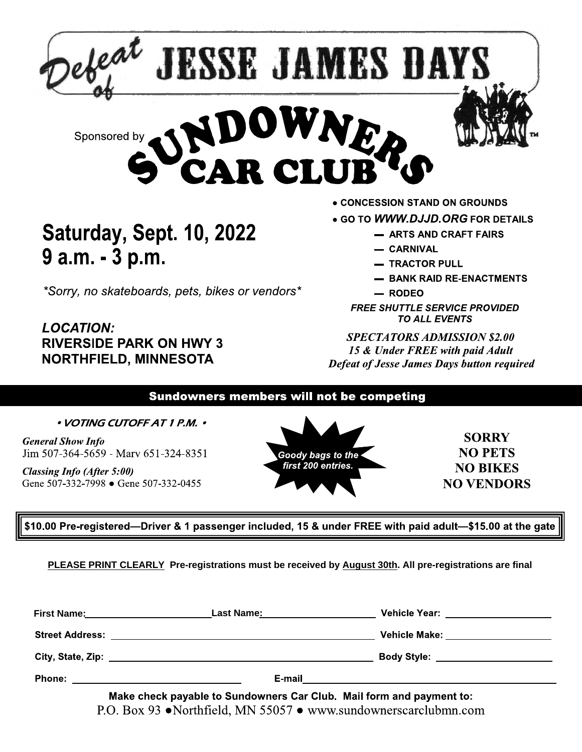

**LOCATION:** RIVERSIDE PARK ON HWY 3 NORTHFIELD, MINNESOTA **EXECUTABLE 10, 2022**<br> **9 a.m. - 3 p.m.**<br>  ${}^{*}$ Sorry, no skateboards, pets, bikes or vendors<br>  ${}^{*}$ Sorry, no skateboards, pets, bikes or vendors<br>  ${}^{*}$ Sorry, no skateboards, pets, bikes or vendors<br>  ${}^{*}$ <br>  $=$  RODED<br>  ${}$ 

- 
- 
- 
- 
- 

SPECTATORS ADMISSION \$2.00 I5 & Under FREE with paid Adult **Defeat of Jesse James Days button required** 

 $\sim$ General Show Info Jim 507-364-5659 - Marv 651-324-8351

Classing Info (After 5:00)<br>Gene 507-332-7998 ● Gene 507-332-0455